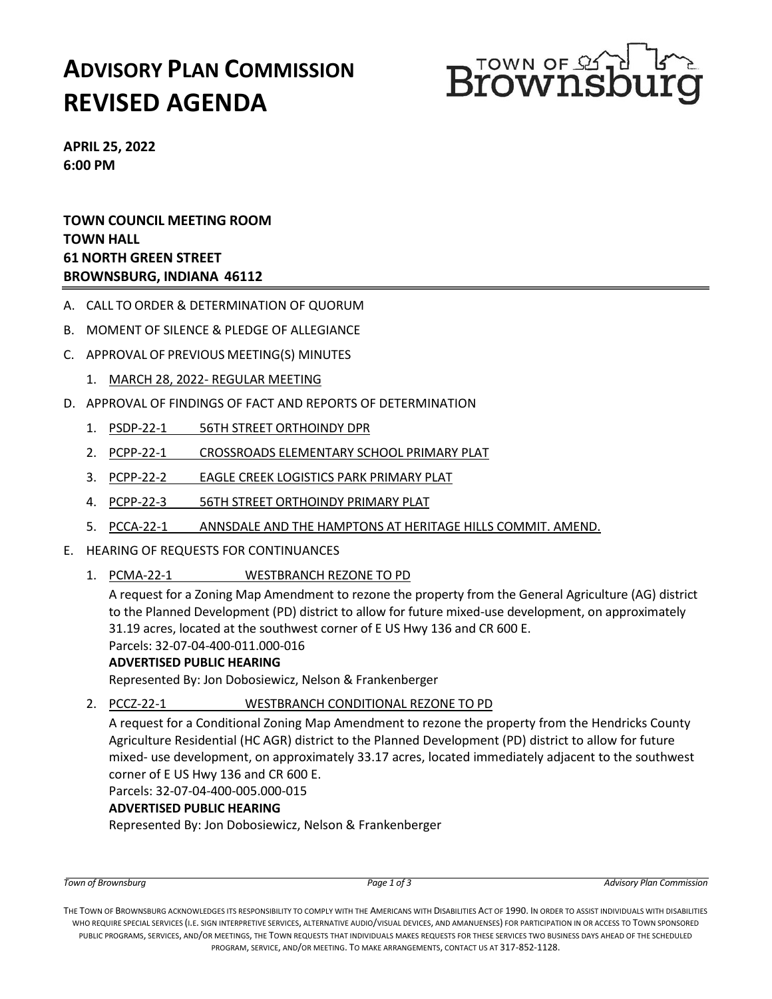# **ADVISORY PLAN COMMISSION REVISED AGENDA**



**APRIL 25, 2022 6:00 PM**

**TOWN COUNCIL MEETING ROOM TOWN HALL 61 NORTH GREEN STREET BROWNSBURG, INDIANA 46112**

- A. CALL TO ORDER & DETERMINATION OF QUORUM
- B. MOMENT OF SILENCE & PLEDGE OF ALLEGIANCE
- C. APPROVAL OF PREVIOUS MEETING(S) MINUTES
	- 1. MARCH 28, 2022- REGULAR MEETING
- D. APPROVAL OF FINDINGS OF FACT AND REPORTS OF DETERMINATION
	- 1. PSDP-22-1 56TH STREET ORTHOINDY DPR
	- 2. PCPP-22-1 CROSSROADS ELEMENTARY SCHOOL PRIMARY PLAT
	- 3. PCPP-22-2 EAGLE CREEK LOGISTICS PARK PRIMARY PLAT
	- 4. PCPP-22-3 56TH STREET ORTHOINDY PRIMARY PLAT
	- 5. PCCA-22-1 ANNSDALE AND THE HAMPTONS AT HERITAGE HILLS COMMIT. AMEND.
- E. HEARING OF REQUESTS FOR CONTINUANCES
	- 1. PCMA-22-1 WESTBRANCH REZONE TO PD

A request for a Zoning Map Amendment to rezone the property from the General Agriculture (AG) district to the Planned Development (PD) district to allow for future mixed-use development, on approximately 31.19 acres, located at the southwest corner of E US Hwy 136 and CR 600 E.

Parcels: 32-07-04-400-011.000-016

#### **ADVERTISED PUBLIC HEARING**

Represented By: Jon Dobosiewicz, Nelson & Frankenberger

2. PCCZ-22-1 WESTBRANCH CONDITIONAL REZONE TO PD

A request for a Conditional Zoning Map Amendment to rezone the property from the Hendricks County Agriculture Residential (HC AGR) district to the Planned Development (PD) district to allow for future mixed- use development, on approximately 33.17 acres, located immediately adjacent to the southwest corner of E US Hwy 136 and CR 600 E.

Parcels: 32-07-04-400-005.000-015

#### **ADVERTISED PUBLIC HEARING**

Represented By: Jon Dobosiewicz, Nelson & Frankenberger

THE TOWN OF BROWNSBURG ACKNOWLEDGES ITS RESPONSIBILITY TO COMPLY WITH THE AMERICANS WITH DISABILITIES ACT OF 1990. IN ORDER TO ASSIST INDIVIDUALS WITH DISABILITIES WHO REQUIRE SPECIAL SERVICES (I.E. SIGN INTERPRETIVE SERVICES, ALTERNATIVE AUDIO/VISUAL DEVICES, AND AMANUENSES) FOR PARTICIPATION IN OR ACCESS TO TOWN SPONSORED PUBLIC PROGRAMS, SERVICES, AND/OR MEETINGS, THE TOWN REQUESTS THAT INDIVIDUALS MAKES REQUESTS FOR THESE SERVICES TWO BUSINESS DAYS AHEAD OF THE SCHEDULED PROGRAM, SERVICE, AND/OR MEETING. TO MAKE ARRANGEMENTS, CONTACT US AT 317-852-1128.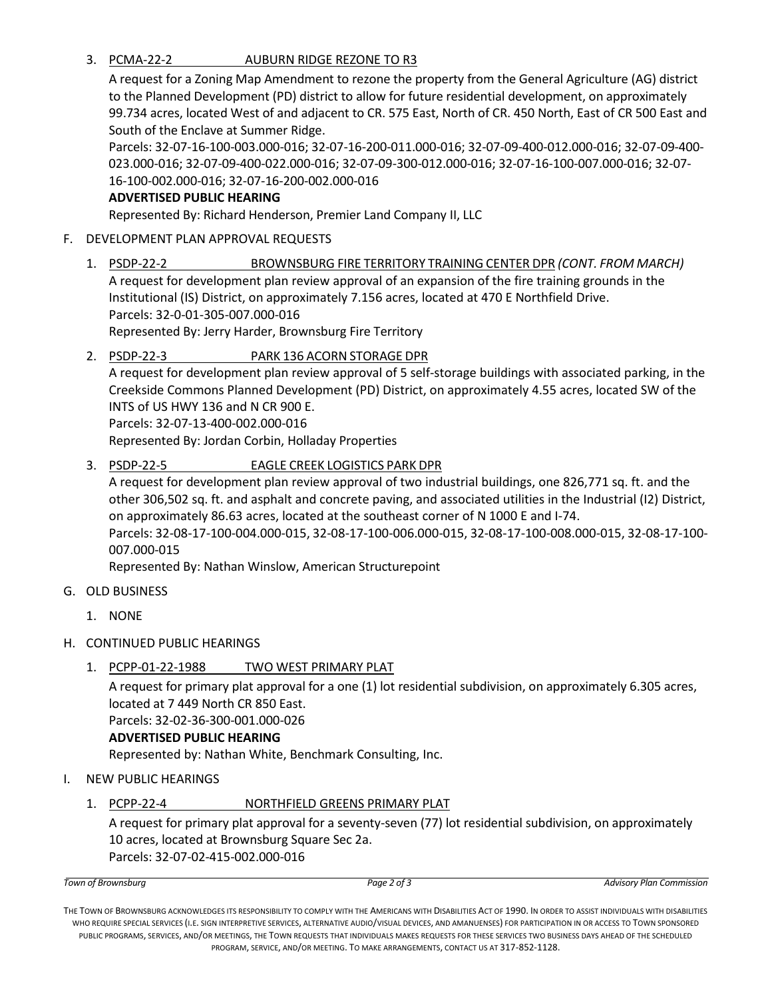3. PCMA-22-2 AUBURN RIDGE REZONE TO R3

A request for a Zoning Map Amendment to rezone the property from the General Agriculture (AG) district to the Planned Development (PD) district to allow for future residential development, on approximately 99.734 acres, located West of and adjacent to CR. 575 East, North of CR. 450 North, East of CR 500 East and South of the Enclave at Summer Ridge.

Parcels: 32-07-16-100-003.000-016; 32-07-16-200-011.000-016; 32-07-09-400-012.000-016; 32-07-09-400- 023.000-016; 32-07-09-400-022.000-016; 32-07-09-300-012.000-016; 32-07-16-100-007.000-016; 32-07- 16-100-002.000-016; 32-07-16-200-002.000-016

#### **ADVERTISED PUBLIC HEARING**

Represented By: Richard Henderson, Premier Land Company II, LLC

### F. DEVELOPMENT PLAN APPROVAL REQUESTS

1. PSDP-22-2 BROWNSBURG FIRE TERRITORY TRAINING CENTER DPR *(CONT. FROM MARCH)* A request for development plan review approval of an expansion of the fire training grounds in the Institutional (IS) District, on approximately 7.156 acres, located at 470 E Northfield Drive. Parcels: 32-0-01-305-007.000-016 Represented By: Jerry Harder, Brownsburg Fire Territory

# 2. PSDP-22-3 PARK 136 ACORN STORAGE DPR

A request for development plan review approval of 5 self-storage buildings with associated parking, in the Creekside Commons Planned Development (PD) District, on approximately 4.55 acres, located SW of the INTS of US HWY 136 and N CR 900 E.

Parcels: 32-07-13-400-002.000-016

Represented By: Jordan Corbin, Holladay Properties

## 3. PSDP-22-5 EAGLE CREEK LOGISTICS PARK DPR

A request for development plan review approval of two industrial buildings, one 826,771 sq. ft. and the other 306,502 sq. ft. and asphalt and concrete paving, and associated utilities in the Industrial (I2) District, on approximately 86.63 acres, located at the southeast corner of N 1000 E and I-74. Parcels: 32-08-17-100-004.000-015, 32-08-17-100-006.000-015, 32-08-17-100-008.000-015, 32-08-17-100- 007.000-015

Represented By: Nathan Winslow, American Structurepoint

- G. OLD BUSINESS
	- 1. NONE
- H. CONTINUED PUBLIC HEARINGS
	- 1. PCPP-01-22-1988 TWO WEST PRIMARY PLAT

A request for primary plat approval for a one (1) lot residential subdivision, on approximately 6.305 acres, located at 7 449 North CR 850 East. Parcels: 32-02-36-300-001.000-026

#### **ADVERTISED PUBLIC HEARING**

Represented by: Nathan White, Benchmark Consulting, Inc.

- I. NEW PUBLIC HEARINGS
	- 1. PCPP-22-4 NORTHFIELD GREENS PRIMARY PLAT

A request for primary plat approval for a seventy-seven (77) lot residential subdivision, on approximately 10 acres, located at Brownsburg Square Sec 2a. Parcels: 32-07-02-415-002.000-016

THE TOWN OF BROWNSBURG ACKNOWLEDGES ITS RESPONSIBILITY TO COMPLY WITH THE AMERICANS WITH DISABILITIES ACT OF 1990. IN ORDER TO ASSIST INDIVIDUALS WITH DISABILITIES WHO REQUIRE SPECIAL SERVICES (I.E. SIGN INTERPRETIVE SERVICES, ALTERNATIVE AUDIO/VISUAL DEVICES, AND AMANUENSES) FOR PARTICIPATION IN OR ACCESS TO TOWN SPONSORED PUBLIC PROGRAMS, SERVICES, AND/OR MEETINGS, THE TOWN REQUESTS THAT INDIVIDUALS MAKES REQUESTS FOR THESE SERVICES TWO BUSINESS DAYS AHEAD OF THE SCHEDULED PROGRAM, SERVICE, AND/OR MEETING. TO MAKE ARRANGEMENTS, CONTACT US AT 317-852-1128.